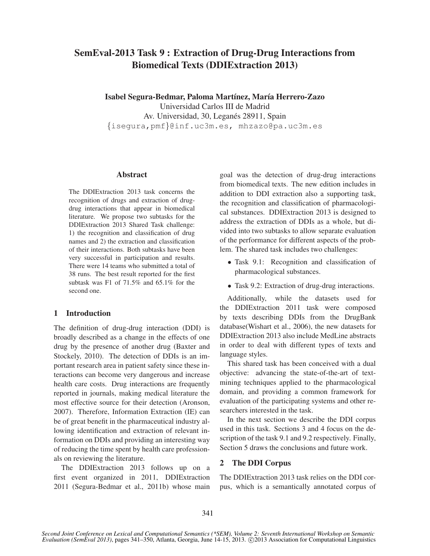# SemEval-2013 Task 9 : Extraction of Drug-Drug Interactions from Biomedical Texts (DDIExtraction 2013)

Isabel Segura-Bedmar, Paloma Martínez, María Herrero-Zazo Universidad Carlos III de Madrid Av. Universidad, 30, Leganés 28911, Spain {isegura,pmf}@inf.uc3m.es, mhzazo@pa.uc3m.es

## Abstract

The DDIExtraction 2013 task concerns the recognition of drugs and extraction of drugdrug interactions that appear in biomedical literature. We propose two subtasks for the DDIExtraction 2013 Shared Task challenge: 1) the recognition and classification of drug names and 2) the extraction and classification of their interactions. Both subtasks have been very successful in participation and results. There were 14 teams who submitted a total of 38 runs. The best result reported for the first subtask was F1 of 71.5% and 65.1% for the second one.

# 1 Introduction

The definition of drug-drug interaction (DDI) is broadly described as a change in the effects of one drug by the presence of another drug (Baxter and Stockely, 2010). The detection of DDIs is an important research area in patient safety since these interactions can become very dangerous and increase health care costs. Drug interactions are frequently reported in journals, making medical literature the most effective source for their detection (Aronson, 2007). Therefore, Information Extraction (IE) can be of great benefit in the pharmaceutical industry allowing identification and extraction of relevant information on DDIs and providing an interesting way of reducing the time spent by health care professionals on reviewing the literature.

The DDIExtraction 2013 follows up on a first event organized in 2011, DDIExtraction 2011 (Segura-Bedmar et al., 2011b) whose main goal was the detection of drug-drug interactions from biomedical texts. The new edition includes in addition to DDI extraction also a supporting task, the recognition and classification of pharmacological substances. DDIExtraction 2013 is designed to address the extraction of DDIs as a whole, but divided into two subtasks to allow separate evaluation of the performance for different aspects of the problem. The shared task includes two challenges:

- Task 9.1: Recognition and classification of pharmacological substances.
- Task 9.2: Extraction of drug-drug interactions.

Additionally, while the datasets used for the DDIExtraction 2011 task were composed by texts describing DDIs from the DrugBank database(Wishart et al., 2006), the new datasets for DDIExtraction 2013 also include MedLine abstracts in order to deal with different types of texts and language styles.

This shared task has been conceived with a dual objective: advancing the state-of-the-art of textmining techniques applied to the pharmacological domain, and providing a common framework for evaluation of the participating systems and other researchers interested in the task.

In the next section we describe the DDI corpus used in this task. Sections 3 and 4 focus on the description of the task 9.1 and 9.2 respectively. Finally, Section 5 draws the conclusions and future work.

# 2 The DDI Corpus

The DDIExtraction 2013 task relies on the DDI corpus, which is a semantically annotated corpus of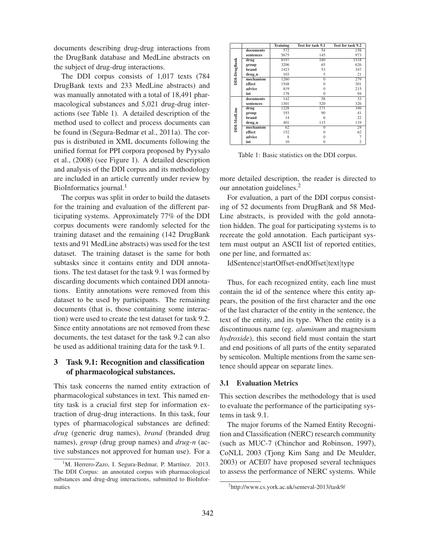documents describing drug-drug interactions from the DrugBank database and MedLine abstracts on the subject of drug-drug interactions.

The DDI corpus consists of 1,017 texts (784 DrugBank texts and 233 MedLine abstracts) and was manually annotated with a total of 18,491 pharmacological substances and 5,021 drug-drug interactions (see Table 1). A detailed description of the method used to collect and process documents can be found in (Segura-Bedmar et al., 2011a). The corpus is distributed in XML documents following the unified format for PPI corpora proposed by Pyysalo et al., (2008) (see Figure 1). A detailed description and analysis of the DDI corpus and its methodology are included in an article currently under review by BioInformatics journal.<sup>1</sup>

The corpus was split in order to build the datasets for the training and evaluation of the different participating systems. Approximately 77% of the DDI corpus documents were randomly selected for the training dataset and the remaining (142 DrugBank texts and 91 MedLine abstracts) was used for the test dataset. The training dataset is the same for both subtasks since it contains entity and DDI annotations. The test dataset for the task 9.1 was formed by discarding documents which contained DDI annotations. Entity annotations were removed from this dataset to be used by participants. The remaining documents (that is, those containing some interaction) were used to create the test dataset for task 9.2. Since entity annotations are not removed from these documents, the test dataset for the task 9.2 can also be used as additional training data for the task 9.1.

# 3 Task 9.1: Recognition and classification of pharmacological substances.

This task concerns the named entity extraction of pharmacological substances in text. This named entity task is a crucial first step for information extraction of drug-drug interactions. In this task, four types of pharmacological substances are defined: *drug* (generic drug names), *brand* (branded drug names), *group* (drug group names) and *drug-n* (active substances not approved for human use). For a

|              |           | <b>Training</b> | Test for task 9.1 | Test for task 9.2 |
|--------------|-----------|-----------------|-------------------|-------------------|
|              | documents | 572             | 54                | 158               |
|              | sentences | 5675            | 145               | 973               |
|              | drug      | 8197            | 180               | 1518              |
|              | group     | 3206            | 65                | 626               |
|              | brand     | 1423            | 53                | 347               |
| DDI-DrugBank | drug_n    | 103             | 5                 | 21                |
|              | mechanism | 1260            | $\overline{0}$    | 279               |
|              | effect    | 1548            | 0                 | 301               |
|              | advice    | 819             |                   | 215               |
|              | int       | 178             | $\Omega$          | 94                |
|              | documents | 142             | 58                | 33                |
|              | sentences | 1301            | 520               | 326               |
|              | drug      | 1228            | 171               | 346               |
|              | group     | 193             | 90                | 41                |
|              | brand     | 14              | 6                 | 22                |
| DDI-MedLine  | drug_n    | 401             | 115               | 119               |
|              | mechanism | 62              | $\Omega$          | 24                |
|              | effect    | 152             |                   | 62                |
|              | advice    | 8               | 0                 | $\overline{7}$    |
|              | int       | 10              | 0                 | 2                 |

Table 1: Basic statistics on the DDI corpus.

more detailed description, the reader is directed to our annotation guidelines.<sup>2</sup>

For evaluation, a part of the DDI corpus consisting of 52 documents from DrugBank and 58 Med-Line abstracts, is provided with the gold annotation hidden. The goal for participating systems is to recreate the gold annotation. Each participant system must output an ASCII list of reported entities, one per line, and formatted as:

IdSentence|startOffset-endOffset|text|type

Thus, for each recognized entity, each line must contain the id of the sentence where this entity appears, the position of the first character and the one of the last character of the entity in the sentence, the text of the entity, and its type. When the entity is a discontinuous name (eg. *aluminum* and magnesium *hydroxide*), this second field must contain the start and end positions of all parts of the entity separated by semicolon. Multiple mentions from the same sentence should appear on separate lines.

### 3.1 Evaluation Metrics

This section describes the methodology that is used to evaluate the performance of the participating systems in task 9.1.

The major forums of the Named Entity Recognition and Classification (NERC) research community (such as MUC-7 (Chinchor and Robinson, 1997), CoNLL 2003 (Tjong Kim Sang and De Meulder, 2003) or ACE07 have proposed several techniques to assess the performance of NERC systems. While

 ${}^{1}$ M. Herrero-Zazo, I. Segura-Bedmar, P. Martínez. 2013. The DDI Corpus: an annotated corpus with pharmacological substances and drug-drug interactions, submitted to BioInformatics

<sup>2</sup> http://www.cs.york.ac.uk/semeval-2013/task9/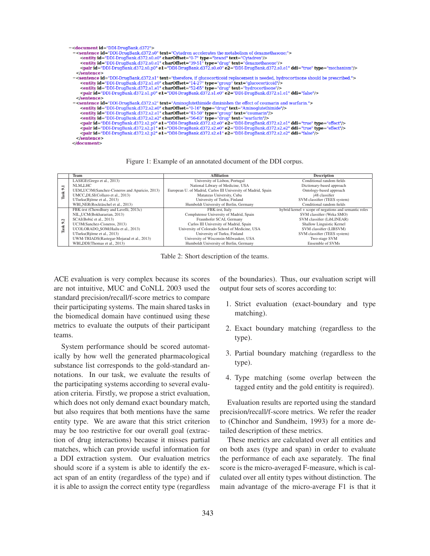| - <document id="DDI-DrugBank.d372"></document>                                                                                       |
|--------------------------------------------------------------------------------------------------------------------------------------|
|                                                                                                                                      |
| - <sentence id="DDI-DrugBank.d372.s0" text="Cytadren accelerates the metabolism of dexamethasone;"></sentence>                       |
| <entity charoffset="0-7" id="DDI-DrugBank.d372.s0.e0" text="Cytadren" type="brand"></entity>                                         |
| <entity charoffset="39-51" id="DDI-DrugBank.d372.s0.e1" text="dexamethasone" type="drug"></entity>                                   |
| <pair ddi="true" e1="DDI-DrugBank.d372.s0.e0" e2="DDI-DrugBank.d372.s0.e1" id="DDI-DrugBank.d372.s0.p0" type="mechanism"></pair>     |
| $<$ /sentence>                                                                                                                       |
| -sentence id="DDI-DrugBank.d372.s1" text="therefore, if glucocorticoid replacement is needed, hydrocortisone should be prescribed."> |
| <entity charoffset="14-27" id="DDI-DrugBank.d372.s1.e0" text="glucocorticoid" type="group"></entity>                                 |
| <entity charoffset="52-65" id="DDI-DrugBank.d372.s1.e1" text="hydrocortisone" type="drug"></entity>                                  |
| <pair ddi="false" e1="DDI-DrugBank.d372.s1.e0" e2="DDI-DrugBank.d372.s1.e1" id="DDI-DrugBank.d372.s1.p0"></pair>                     |
| $<$ /sentence>                                                                                                                       |
| - <sentence id="DDI-DrugBank.d372.s2" text="Aminoglutethimide diminishes the effect of coumarin and warfarin."></sentence>           |
| <entity charoffset="0-16" id="DDI-DrugBank.d372.s2.e0" text="Aminoglutethimide" type="drug"></entity>                                |
| <entity charoffset="43-50" id="DDI-DrugBank.d372.s2.e1" text="coumarin" type="group"></entity>                                       |
| <entity charoffset="56-63" id="DDI-DrugBank.d372.s2.e2" text="warfarin" type="drug"></entity>                                        |
| <pair ddi="true" e1="DDI-DrugBank.d372.s2.e0" e2="DDI-DrugBank.d372.s2.e1" id="DDI-DrugBank.d372.s2.p0" type="effect"></pair>        |
| <pair ddi="true" e1="DDI-DrugBank.d372.s2.e0" e2="DDI-DrugBank.d372.s2.e2" id="DDI-DrugBank.d372.s2.p1" type="effect"></pair>        |
| <pair ddi="false" e1="DDI-DrugBank.d372.s2.e1" e2="DDI-DrugBank.d372.s2.e2" id="DDI-DrugBank.d372.s2.p2"></pair>                     |
| $<$ /sentence>                                                                                                                       |
| $<$ /document>                                                                                                                       |

#### Figure 1: Example of an annotated document of the DDI corpus.

|      | Team                                          | <b>Affiliation</b>                                            | <b>Description</b>                                    |
|------|-----------------------------------------------|---------------------------------------------------------------|-------------------------------------------------------|
|      | LASIGE(Grego et al., 2013)                    | University of Lisbon, Portugal                                | Conditional random fields                             |
| H    | NLM_LHC                                       | National Library of Medicine, USA                             | Dictionary-based approach                             |
| ۰    | UEM_UC3M(Sanchez-Cisneros and Aparicio, 2013) | European U. of Madrid, Carlos III University of Madrid, Spain | Ontology-based approach                               |
| Task | UMCC_DLSI(Collazo et al., 2013)               | Matanzas University, Cuba                                     | j48 classifier                                        |
|      | UTurku(Björne et al., 2013)                   | University of Turku, Finland                                  | SVM classifier (TEES system)                          |
|      | WBL_NER(Rocktäschel et al., 2013)             | Humboldt University of Berlin, Germany                        | Conditional random fields                             |
|      | FBK-irst (Chowdhury and Lavelli, 2013c)       | FBK-irst, Italy                                               | hybrid kernel + scope of negations and semantic roles |
|      | NIL_UCM(Bokharaeian, 2013)                    | Complutense University of Madrid, Spain                       | SVM classifier (Weka SMO)                             |
| 9.2  | SCAI(Bobić et al., 2013)                      | Fraunhofer SCAI, Germany                                      | SVM classifier (LibLINEAR)                            |
|      | UC3M(Sanchez-Cisneros, 2013)                  | Carlos III University of Madrid, Spain                        | Shallow Linguistic Kernel                             |
| Task | UCOLORADO_SOM(Hailu et al., 2013)             | University of Colorado School of Medicine, USA                | SVM classifier (LIBSVM)                               |
|      | UTurku(Björne et al., 2013)                   | University of Turku, Finland                                  | SVM classifier (TEES system)                          |
|      | UWM-TRIADS(Rastegar-Mojarad et al., 2013)     | University of Wisconsin-Milwaukee, USA                        | Two-stage SVM                                         |
|      | WBI_DDI(Thomas et al., 2013)                  | Humboldt University of Berlin, Germany                        | Ensemble of SVMs                                      |

Table 2: Short description of the teams.

ACE evaluation is very complex because its scores are not intuitive, MUC and CoNLL 2003 used the standard precision/recall/f-score metrics to compare their participating systems. The main shared tasks in the biomedical domain have continued using these metrics to evaluate the outputs of their participant teams.

System performance should be scored automatically by how well the generated pharmacological substance list corresponds to the gold-standard annotations. In our task, we evaluate the results of the participating systems according to several evaluation criteria. Firstly, we propose a strict evaluation, which does not only demand exact boundary match, but also requires that both mentions have the same entity type. We are aware that this strict criterion may be too restrictive for our overall goal (extraction of drug interactions) because it misses partial matches, which can provide useful information for a DDI extraction system. Our evaluation metrics should score if a system is able to identify the exact span of an entity (regardless of the type) and if it is able to assign the correct entity type (regardless

of the boundaries). Thus, our evaluation script will output four sets of scores according to:

- 1. Strict evaluation (exact-boundary and type matching).
- 2. Exact boundary matching (regardless to the type).
- 3. Partial boundary matching (regardless to the type).
- 4. Type matching (some overlap between the tagged entity and the gold entitity is required).

Evaluation results are reported using the standard precision/recall/f-score metrics. We refer the reader to (Chinchor and Sundheim, 1993) for a more detailed description of these metrics.

These metrics are calculated over all entities and on both axes (type and span) in order to evaluate the performance of each axe separately. The final score is the micro-averaged F-measure, which is calculated over all entity types without distinction. The main advantage of the micro-average F1 is that it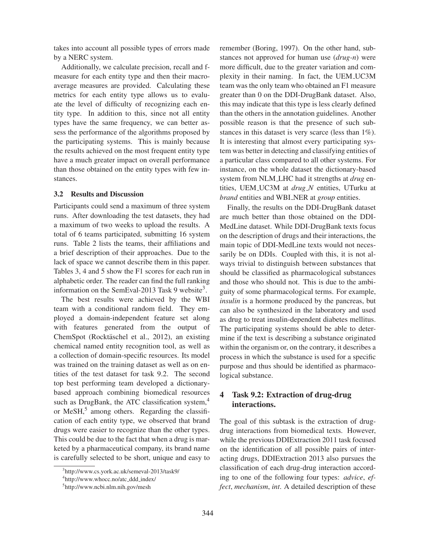takes into account all possible types of errors made by a NERC system.

Additionally, we calculate precision, recall and fmeasure for each entity type and then their macroaverage measures are provided. Calculating these metrics for each entity type allows us to evaluate the level of difficulty of recognizing each entity type. In addition to this, since not all entity types have the same frequency, we can better assess the performance of the algorithms proposed by the participating systems. This is mainly because the results achieved on the most frequent entity type have a much greater impact on overall performance than those obtained on the entity types with few instances.

#### 3.2 Results and Discussion

Participants could send a maximum of three system runs. After downloading the test datasets, they had a maximum of two weeks to upload the results. A total of 6 teams participated, submitting 16 system runs. Table 2 lists the teams, their affiliations and a brief description of their approaches. Due to the lack of space we cannot describe them in this paper. Tables 3, 4 and 5 show the F1 scores for each run in alphabetic order. The reader can find the full ranking information on the SemEval-2013 Task 9 website<sup>3</sup>.

The best results were achieved by the WBI team with a conditional random field. They employed a domain-independent feature set along with features generated from the output of ChemSpot (Rocktäschel et al., 2012), an existing chemical named entity recognition tool, as well as a collection of domain-specific resources. Its model was trained on the training dataset as well as on entities of the test dataset for task 9.2. The second top best performing team developed a dictionarybased approach combining biomedical resources such as DrugBank, the ATC classification system,<sup>4</sup> or MeSH,<sup>5</sup> among others. Regarding the classification of each entity type, we observed that brand drugs were easier to recognize than the other types. This could be due to the fact that when a drug is marketed by a pharmaceutical company, its brand name is carefully selected to be short, unique and easy to remember (Boring, 1997). On the other hand, substances not approved for human use (*drug-n*) were more difficult, due to the greater variation and complexity in their naming. In fact, the UEM UC3M team was the only team who obtained an F1 measure greater than 0 on the DDI-DrugBank dataset. Also, this may indicate that this type is less clearly defined than the others in the annotation guidelines. Another possible reason is that the presence of such substances in this dataset is very scarce (less than 1%). It is interesting that almost every participating system was better in detecting and classifying entities of a particular class compared to all other systems. For instance, on the whole dataset the dictionary-based system from NLM LHC had it strengths at *drug* entities, UEM UC3M at *drug N* entities, UTurku at *brand* entities and WBI NER at *group* entities.

Finally, the results on the DDI-DrugBank dataset are much better than those obtained on the DDI-MedLine dataset. While DDI-DrugBank texts focus on the description of drugs and their interactions, the main topic of DDI-MedLine texts would not necessarily be on DDIs. Coupled with this, it is not always trivial to distinguish between substances that should be classified as pharmacological substances and those who should not. This is due to the ambiguity of some pharmacological terms. For example, *insulin* is a hormone produced by the pancreas, but can also be synthesized in the laboratory and used as drug to treat insulin-dependent diabetes mellitus. The participating systems should be able to determine if the text is describing a substance originated within the organism or, on the contrary, it describes a process in which the substance is used for a specific purpose and thus should be identified as pharmacological substance.

# 4 Task 9.2: Extraction of drug-drug interactions.

The goal of this subtask is the extraction of drugdrug interactions from biomedical texts. However, while the previous DDIExtraction 2011 task focused on the identification of all possible pairs of interacting drugs, DDIExtraction 2013 also pursues the classification of each drug-drug interaction according to one of the following four types: *advice*, *effect*, *mechanism*, *int*. A detailed description of these

<sup>3</sup> http://www.cs.york.ac.uk/semeval-2013/task9/

<sup>4</sup> http://www.whocc.no/atc ddd index/

<sup>5</sup> http://www.ncbi.nlm.nih.gov/mesh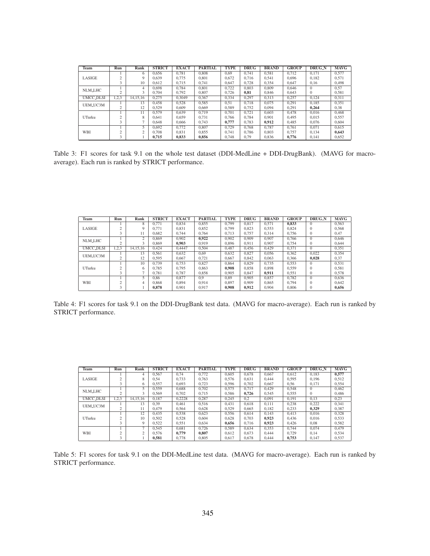| Team             | Run       | Rank           | <b>STRICT</b> | <b>EXACT</b> | <b>PARTIAL</b> | <b>TYPE</b> | <b>DRUG</b> | <b>BRAND</b> | <b>GROUP</b> | <b>DRUG_N</b> | <b>MAVG</b> |
|------------------|-----------|----------------|---------------|--------------|----------------|-------------|-------------|--------------|--------------|---------------|-------------|
|                  |           | 6              | 0.656         | 0.781        | 0.808          | 0.69        | 0.741       | 0.581        | 0.712        | 0.171         | 0.577       |
| LASIGE           |           | 9              | 0.639         | 0.775        | 0.801          | 0.672       | 0.716       | 0.541        | 0.696        | 0.182         | 0.571       |
|                  |           | 10             | 0.612         | 0.715        | 0.741          | 0.647       | 0.728       | 0.354        | 0.647        | 0.16          | 0.498       |
| <b>NLM_LHC</b>   |           | 4              | 0.698         | 0.784        | 0.801          | 0.722       | 0.803       | 0.809        | 0.646        | $\Omega$      | 0.57        |
|                  |           | 3              | 0.704         | 0.792        | 0.807          | 0.726       | 0.81        | 0.846        | 0.643        | $\Omega$      | 0.581       |
| <b>UMCC_DLSI</b> | 1,2,3     | 14.15.16       | 0.275         | 0.3049       | 0.367          | 0.334       | 0.297       | 0.313        | 0.257        | 0.124         | 0.311       |
| UEM_UC3M         |           | 13             | 0.458         | 0.528        | 0.585          | 0.51        | 0.718       | 0.075        | 0.291        | 0.185         | 0.351       |
|                  |           | 12             | 0.529         | 0.609        | 0.669          | 0.589       | 0.752       | 0.094        | 0,291        | 0.264         | 0,38        |
|                  |           | 11             | 0.579         | 0.639        | 0.719          | 0.701       | 0.721       | 0.603        | 0.478        | 0.016         | 0.468       |
| UTurku           |           | 8              | 0.641         | 0.659        | 0.731          | 0.766       | 0.784       | 0.901        | 0.495        | 0.015         | 0.557       |
|                  | 3         |                | 0.648         | 0.666        | 0.743          | 0,777       | 0.783       | 0.912        | 0.485        | 0.076         | 0.604       |
|                  |           | 5.             | 0.692         | 0.772        | 0.807          | 0.729       | 0.768       | 0.787        | 0.761        | 0.071         | 0.615       |
| WBI              | $\bigcap$ | $\overline{c}$ | 0.708         | 0.831        | 0.855          | 0.741       | 0.786       | 0.803        | 0.757        | 0.134         | 0.643       |
|                  |           |                | 0.715         | 0,833        | 0,856          | 0.748       | 0,79        | 0,836        | 0.776        | 0.141         | 0,652       |

Table 3: F1 scores for task 9.1 on the whole test dataset (DDI-MedLine + DDI-DrugBank). (MAVG for macroaverage). Each run is ranked by STRICT performance.

| <b>Team</b>                                              | Run    | Rank          | <b>STRICT</b> | <b>EXACT</b> | <b>PARTIAL</b> | <b>TYPE</b> | <b>DRUG</b> | <b>BRAND</b> | <b>GROUP</b> | <b>DRUG_N</b> | <b>MAVG</b> |
|----------------------------------------------------------|--------|---------------|---------------|--------------|----------------|-------------|-------------|--------------|--------------|---------------|-------------|
|                                                          |        | 8             | 0.771         | 0.834        | 0.855          | 0.799       | 0.817       | 0.571        | 0.833        | $\Omega$      | 0.563       |
| LASIGE                                                   |        | Q             | 0.771         | 0.831        | 0.852          | 0.799       | 0.823       | 0.553        | 0.824        | $\mathbf{0}$  | 0,568       |
| NLM_LHC<br><b>UMCC_DLSI</b><br>UEM_UC3M<br>UTurku<br>WBI |        | 11            | 0.682         | 0.744        | 0.764          | 0.713       | 0.757       | 0.314        | 0.756        | $\Omega$      | 0.47        |
|                                                          |        | $\mathcal{L}$ | 0.869         | 0.902        | 0.922          | 0.902       | 0.909       | 0.907        | 0.766        | $\Omega$      | 0.646       |
|                                                          | n      | 3             | 0.869         | 0.903        | 0.919          | 0.896       | 0.911       | 0.907        | 0.754        | $\Omega$      | 0.644       |
|                                                          | 1,2,3  | 14.15.16      | 0.424         | 0.4447       | 0.504          | 0.487       | 0.456       | 0.429        | 0.371        | $\Omega$      | 0.351       |
|                                                          |        | 13            | 0.561         | 0.632        | 0.69           | 0.632       | 0.827       | 0.056        | 0.362        | 0.022         | 0.354       |
|                                                          |        | 12            | 0.595         | 0.667        | 0.721          | 0.667       | 0.842       | 0.063        | 0.366        | 0.028         | 0,37        |
|                                                          |        | 10            | 0.739         | 0.753        | 0.827          | 0.864       | 0.829       | 0.735        | 0.553        | $\Omega$      | 0.531       |
|                                                          | $\sim$ | 6             | 0.785         | 0.795        | 0.863          | 0.908       | 0.858       | 0.898        | 0.559        | $\Omega$      | 0.581       |
|                                                          |        |               | 0.781         | 0.787        | 0.858          | 0.905       | 0.847       | 0.911        | 0.551        | $\Omega$      | 0,578       |
|                                                          |        |               | 0.86          | 0.877        | 0.9            | 0.89        | 0.905       | 0.857        | 0.782        | $\Omega$      | 0.636       |
|                                                          | c      | 4             | 0.868         | 0.894        | 0.914          | 0.897       | 0.909       | 0.865        | 0.794        | $\Omega$      | 0.642       |
|                                                          | 3      |               | 0.878         | 0.901        | 0.917          | 0.908       | 0.912       | 0.904        | 0.806        |               | 0.656       |

Table 4: F1 scores for task 9.1 on the DDI-DrugBank test data. (MAVG for macro-average). Each run is ranked by STRICT performance.

| <b>Team</b>                                                          | Run            | Rank           | <b>STRICT</b> | <b>EXACT</b> | <b>PARTIAL</b> | <b>TYPE</b> | <b>DRUG</b> | <b>BRAND</b> | <b>GROUP</b> | <b>DRUG_N</b> | <b>MAVG</b> |
|----------------------------------------------------------------------|----------------|----------------|---------------|--------------|----------------|-------------|-------------|--------------|--------------|---------------|-------------|
|                                                                      |                | 4              | 0.567         | 0.74         | 0.772          | 0.605       | 0.678       | 0.667        | 0.612        | 0.183         | 0.577       |
| LASIGE                                                               | $\sim$         | 8              | 0.54          | 0,733        | 0.763          | 0.576       | 0.631       | 0.444        | 0.595        | 0.196         | 0,512       |
| NLM <sub>-LHC</sub><br><b>UMCC_DLSI</b><br>UEM_UC3M<br>UTurku<br>WBI |                | 6              | 0.557         | 0.693        | 0.723          | 0.596       | 0.702       | 0.667        | 0.56         | 0.171         | 0,554       |
|                                                                      |                | ς.             | 0.559         | 0.688        | 0.702          | 0.575       | 0.717       | 0.429        | 0.548        | $\Omega$      | 0.462       |
|                                                                      | $\overline{2}$ | 3              | 0.569         | 0.702        | 0.715          | 0.586       | 0.726       | 0.545        | 0.555        | $\Omega$      | 0.486       |
|                                                                      | 1,2,3          | 14.15.16       | 0.187         | 0.2228       | 0.287          | 0.245       | 0.2         | 0.091        | 0.191        | 0,13          | 0,23        |
|                                                                      |                | 13             | 0.39          | 0.461        | 0.516          | 0.431       | 0.618       | 0.111        | 0.238        | 0.222         | 0.341       |
|                                                                      | $\sim$         | 11             | 0.479         | 0.564        | 0.628          | 0.529       | 0.665       | 0.182        | 0.233        | 0.329         | 0.387       |
|                                                                      |                | 12             | 0.435         | 0,538        | 0.623          | 0.556       | 0.614       | 0.143        | 0.413        | 0.016         | 0.328       |
|                                                                      | $\sim$         | 10             | 0.502         | 0,528        | 0.604          | 0.628       | 0.703       | 0.923        | 0.436        | 0.016         | 0,533       |
|                                                                      | 3              | 9              | 0.522         | 0,551        | 0.634          | 0.656       | 0.716       | 0,923        | 0.426        | 0.08          | 0,582       |
|                                                                      |                | $\overline{ }$ | 0.545         | 0.681        | 0.726          | 0.589       | 0.634       | 0.353        | 0.744        | 0.074         | 0.479       |
|                                                                      | $\sim$         | $\sim$         | 0.576         | 0.779        | 0.807          | 0.612       | 0.673       | 0.444        | 0.729        | 0.14          | 0.534       |
|                                                                      | 3              |                | 0.581         | 0.778        | 0.805          | 0.617       | 0.678       | 0.444        | 0.753        | 0.147         | 0.537       |

Table 5: F1 scores for task 9.1 on the DDI-MedLine test data. (MAVG for macro-average). Each run is ranked by STRICT performance.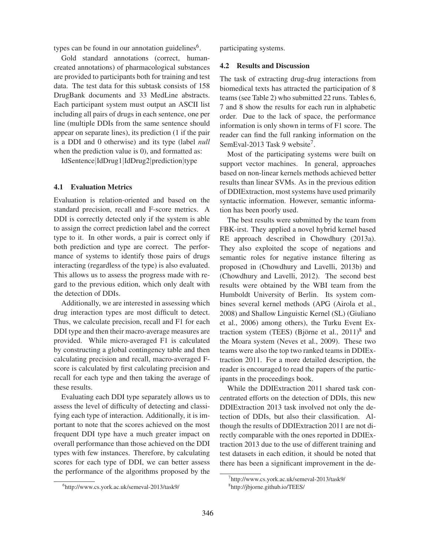types can be found in our annotation guidelines<sup>6</sup>.

Gold standard annotations (correct, humancreated annotations) of pharmacological substances are provided to participants both for training and test data. The test data for this subtask consists of 158 DrugBank documents and 33 MedLine abstracts. Each participant system must output an ASCII list including all pairs of drugs in each sentence, one per line (multiple DDIs from the same sentence should appear on separate lines), its prediction (1 if the pair is a DDI and 0 otherwise) and its type (label *null* when the prediction value is 0), and formatted as:

IdSentence|IdDrug1|IdDrug2|prediction|type

### 4.1 Evaluation Metrics

Evaluation is relation-oriented and based on the standard precision, recall and F-score metrics. A DDI is correctly detected only if the system is able to assign the correct prediction label and the correct type to it. In other words, a pair is correct only if both prediction and type are correct. The performance of systems to identify those pairs of drugs interacting (regardless of the type) is also evaluated. This allows us to assess the progress made with regard to the previous edition, which only dealt with the detection of DDIs.

Additionally, we are interested in assessing which drug interaction types are most difficult to detect. Thus, we calculate precision, recall and F1 for each DDI type and then their macro-average measures are provided. While micro-averaged F1 is calculated by constructing a global contingency table and then calculating precision and recall, macro-averaged Fscore is calculated by first calculating precision and recall for each type and then taking the average of these results.

Evaluating each DDI type separately allows us to assess the level of difficulty of detecting and classifying each type of interaction. Additionally, it is important to note that the scores achieved on the most frequent DDI type have a much greater impact on overall performance than those achieved on the DDI types with few instances. Therefore, by calculating scores for each type of DDI, we can better assess the performance of the algorithms proposed by the

6 http://www.cs.york.ac.uk/semeval-2013/task9/

participating systems.

### 4.2 Results and Discussion

The task of extracting drug-drug interactions from biomedical texts has attracted the participation of 8 teams (see Table 2) who submitted 22 runs. Tables 6, 7 and 8 show the results for each run in alphabetic order. Due to the lack of space, the performance information is only shown in terms of F1 score. The reader can find the full ranking information on the SemEval-2013 Task 9 website<sup>7</sup>.

Most of the participating systems were built on support vector machines. In general, approaches based on non-linear kernels methods achieved better results than linear SVMs. As in the previous edition of DDIExtraction, most systems have used primarily syntactic information. However, semantic information has been poorly used.

The best results were submitted by the team from FBK-irst. They applied a novel hybrid kernel based RE approach described in Chowdhury (2013a). They also exploited the scope of negations and semantic roles for negative instance filtering as proposed in (Chowdhury and Lavelli, 2013b) and (Chowdhury and Lavelli, 2012). The second best results were obtained by the WBI team from the Humboldt University of Berlin. Its system combines several kernel methods (APG (Airola et al., 2008) and Shallow Linguistic Kernel (SL) (Giuliano et al., 2006) among others), the Turku Event Extraction system (TEES) (Björne et al.,  $2011$ )<sup>8</sup> and the Moara system (Neves et al., 2009). These two teams were also the top two ranked teams in DDIExtraction 2011. For a more detailed description, the reader is encouraged to read the papers of the participants in the proceedings book.

While the DDIExtraction 2011 shared task concentrated efforts on the detection of DDIs, this new DDIExtraction 2013 task involved not only the detection of DDIs, but also their classification. Although the results of DDIExtraction 2011 are not directly comparable with the ones reported in DDIExtraction 2013 due to the use of different training and test datasets in each edition, it should be noted that there has been a significant improvement in the de-

<sup>7</sup> http://www.cs.york.ac.uk/semeval-2013/task9/

<sup>8</sup> http://jbjorne.github.io/TEES/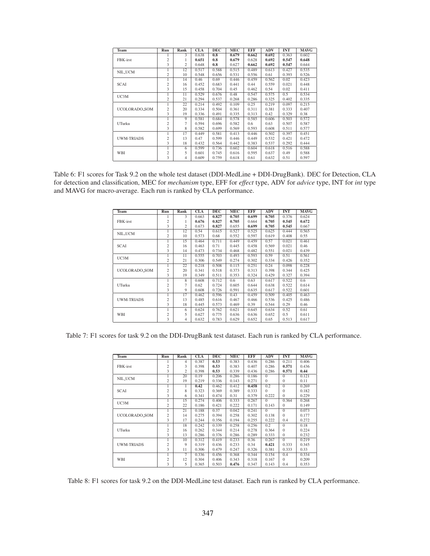| Team              | Run            | Rank | <b>CLA</b> | <b>DEC</b> | <b>MEC</b> | <b>EFF</b> | ADV   | <b>INT</b> | <b>MAVG</b> |
|-------------------|----------------|------|------------|------------|------------|------------|-------|------------|-------------|
|                   | 1              | 3    | 0.638      | 0.8        | 0.679      | 0.662      | 0.692 | 0.363      | 0.602       |
| FBK-irst          | $\overline{c}$ | 1    | 0.651      | 0.8        | 0.679      | 0.628      | 0.692 | 0.547      | 0.648       |
|                   | 3              | 2    | 0.648      | 0.8        | 0.627      | 0.662      | 0.692 | 0.547      | 0.644       |
| NIL_UCM           |                | 12   | 0.517      | 0.588      | 0.515      | 0.489      | 0.613 | 0.427      | 0.535       |
|                   | $\overline{c}$ | 10   | 0.548      | 0.656      | 0.531      | 0.556      | 0.61  | 0.393      | 0.526       |
|                   | 1              | 14   | 0.46       | 0.69       | 0.446      | 0.459      | 0.562 | 0.02       | 0.423       |
| <b>SCAI</b>       | $\overline{c}$ | 16   | 0.452      | 0.683      | 0.441      | 0.44       | 0.559 | 0.021      | 0.448       |
|                   | 3              | 15   | 0.458      | 0.704      | 0.45       | 0.462      | 0.54  | 0.02       | 0.411       |
| UC3M              |                | 11   | 0.529      | 0.676      | 0.48       | 0.547      | 0.575 | 0.5        | 0.534       |
|                   | $\overline{c}$ | 21   | 0.294      | 0.537      | 0.268      | 0.286      | 0.325 | 0.402      | 0.335       |
|                   | 1              | 22   | 0.214      | 0.492      | 0.109      | 0.25       | 0.219 | 0.097      | 0.215       |
| UCOLORADO_SOM     | $\overline{c}$ | 20   | 0.334      | 0.504      | 0.361      | 0.311      | 0.381 | 0.333      | 0.407       |
|                   | 3              | 19   | 0.336      | 0.491      | 0.335      | 0.313      | 0.42  | 0.329      | 0.38        |
|                   | 1              | 9    | 0.581      | 0.684      | 0.578      | 0.585      | 0.606 | 0.503      | 0.572       |
| UTurku            | $\overline{c}$ | 7    | 0.594      | 0.696      | 0.582      | 0.6        | 0.63  | 0.507      | 0.587       |
|                   | 3              | 8    | 0.582      | 0.699      | 0.569      | 0.593      | 0.608 | 0.511      | 0.577       |
|                   | 1              | 17   | 0.449      | 0.581      | 0.413      | 0.446      | 0.502 | 0.397      | 0.451       |
| <b>UWM-TRIADS</b> | $\sqrt{2}$     | 13   | 0.47       | 0.599      | 0.446      | 0.449      | 0.532 | 0.421      | 0.472       |
|                   | 3              | 18   | 0.432      | 0.564      | 0.442      | 0.383      | 0.537 | 0.292      | 0.444       |
|                   | 1              | 6    | 0.599      | 0.736      | 0.602      | 0.604      | 0.618 | 0.516      | 0.588       |
| WBI               | $\overline{c}$ | 5    | 0.601      | 0.745      | 0.616      | 0.595      | 0.637 | 0.49       | 0.588       |
|                   | 3              | 4    | 0.609      | 0.759      | 0.618      | 0.61       | 0.632 | 0.51       | 0.597       |

Table 6: F1 scores for Task 9.2 on the whole test dataset (DDI-MedLine + DDI-DrugBank). DEC for Detection, CLA for detection and classification, MEC for *mechanism* type, EFF for *effect* type, ADV for *advice* type, INT for *int* type and MAVG for macro-average. Each run is ranked by CLA performance.

| Team              | Run                     | Rank            | <b>CLA</b> | <b>DEC</b> | <b>MEC</b> | <b>EFF</b> | <b>ADV</b> | <b>INT</b> | <b>MAVG</b> |
|-------------------|-------------------------|-----------------|------------|------------|------------|------------|------------|------------|-------------|
|                   |                         | 3               | 0.663      | 0.827      | 0.705      | 0.699      | 0.705      | 0.376      | 0.624       |
| FBK-irst          | $\overline{c}$          |                 | 0.676      | 0.827      | 0.705      | 0.664      | 0.705      | 0.545      | 0.672       |
|                   | 3                       | $\overline{c}$  | 0.673      | 0.827      | 0.655      | 0.699      | 0.705      | 0.545      | 0.667       |
| NIL_UCM           | 1                       | 12              | 0.54       | 0.615      | 0.527      | 0.525      | 0.625      | 0.444      | 0.565       |
|                   | $\overline{c}$          | 10              | 0.573      | 0.68       | 0.552      | 0.597      | 0.619      | 0.408      | 0.55        |
|                   | 1                       | 15              | 0.464      | 0.711      | 0.449      | 0.459      | 0.57       | 0.021      | 0.461       |
| <b>SCAI</b>       | $\overline{c}$          | 16              | 0.463      | 0.71       | 0.445      | 0.458      | 0.569      | 0.021      | 0.46        |
|                   | 3                       | 14              | 0.473      | 0.734      | 0.468      | 0.482      | 0.551      | 0.021      | 0.439       |
| UC3M              | 1                       | 11              | 0.555      | 0.703      | 0.493      | 0.593      | 0.59       | 0.51       | 0.561       |
|                   | $\overline{c}$          | 21              | 0.306      | 0.549      | 0.274      | 0.302      | 0.334      | 0.426      | 0.352       |
|                   | 1                       | 22              | 0.218      | 0.508      | 0.115      | 0.251      | 0.24       | 0.098      | 0.228       |
| UCOLORADO_SOM     | $\overline{c}$          | 20              | 0.341      | 0.518      | 0.373      | 0.313      | 0.398      | 0.344      | 0.425       |
|                   | 3                       | 19              | 0.349      | 0.511      | 0.353      | 0.324      | 0.429      | 0.327      | 0.394       |
|                   | 1                       | $\overline{8}$  | 0.608      | 0.712      | 0.6        | 0.63       | 0.617      | 0.522      | 0.6         |
| UTurku            | $\overline{c}$          | $\overline{7}$  | 0.62       | 0.724      | 0.605      | 0.644      | 0.638      | 0.522      | 0.614       |
|                   | 3                       | 9               | 0.608      | 0.726      | 0.591      | 0.635      | 0.617      | 0.522      | 0.601       |
|                   |                         | $\overline{17}$ | 0.462      | 0.596      | 0.43       | 0.459      | 0.509      | 0.405      | 0.463       |
| <b>UWM-TRIADS</b> | $\overline{\mathbf{c}}$ | 13              | 0.485      | 0.616      | 0.467      | 0.466      | 0.536      | 0.425      | 0.486       |
|                   | 3                       | 18              | 0.445      | 0.573      | 0.469      | 0.39       | 0.544      | 0.29       | 0.46        |
|                   | 1                       | 6               | 0.624      | 0.762      | 0.621      | 0.645      | 0.634      | 0.52       | 0.61        |
| WBI               | $\overline{\mathbf{c}}$ | 5               | 0.627      | 0.775      | 0.636      | 0.636      | 0.652      | 0.5        | 0.611       |
|                   | $\overline{\mathbf{3}}$ | 4               | 0.632      | 0.783      | 0.629      | 0.652      | 0.65       | 0.513      | 0.617       |

Table 7: F1 scores for task 9.2 on the DDI-DrugBank test dataset. Each run is ranked by CLA performance.

| Team              | Run                     | Rank | <b>CLA</b> | DEC   | MEC   | EFF   | ADV      | <b>INT</b>     | <b>MAVG</b> |
|-------------------|-------------------------|------|------------|-------|-------|-------|----------|----------------|-------------|
|                   |                         | 4    | 0.387      | 0.53  | 0.383 | 0.436 | 0.286    | 0.211          | 0.406       |
| FBK-irst          | $\overline{c}$          | 3    | 0.398      | 0.53  | 0.383 | 0.407 | 0.286    | 0.571          | 0.436       |
|                   | 3                       | 2    | 0.398      | 0.53  | 0.339 | 0.436 | 0.286    | 0.571          | 0.44        |
| NIL_UCM           | 1                       | 20   | 0.19       | 0.206 | 0.286 | 0.186 | $\Omega$ | $\mathbf{0}$   | 0.121       |
|                   | 2                       | 19   | 0.219      | 0.336 | 0.143 | 0.271 | $\Omega$ | $\Omega$       | 0.11        |
|                   |                         |      | 0.42       | 0.462 | 0.412 | 0.458 | 0.2      | $\overline{0}$ | 0.269       |
| <b>SCAI</b>       | $\overline{\mathbf{c}}$ | 8    | 0.323      | 0.369 | 0.389 | 0.333 | $\Omega$ | $\Omega$       | 0.182       |
|                   | 3                       | 6    | 0.341      | 0.474 | 0.31  | 0.379 | 0.222    | $\mathbf{0}$   | 0.229       |
| UC3M              |                         | 15   | 0.274      | 0.406 | 0.333 | 0.267 | $\Omega$ | 0.364          | 0.268       |
|                   | $\overline{c}$          | 22   | 0.186      | 0.421 | 0.222 | 0.171 | 0.143    | $\Omega$       | 0.149       |
|                   | 1                       | 21   | 0.188      | 0.37  | 0.042 | 0.241 | $\Omega$ | $\overline{0}$ | 0.073       |
| UCOLORADO_SOM     | $\overline{c}$          | 14   | 0.275      | 0.394 | 0.258 | 0.302 | 0.138    | $\Omega$       | 0.177       |
|                   | 3                       | 17   | 0.244      | 0.356 | 0.194 | 0.255 | 0.222    | 0.4            | 0.272       |
|                   |                         | 18   | 0.242      | 0.339 | 0.258 | 0.256 | 0.2      | $\overline{0}$ | 0.18        |
| UTurku            | $\overline{c}$          | 16   | 0.262      | 0.344 | 0.214 | 0.278 | 0.364    | $\Omega$       | 0.224       |
|                   | 3                       | 13   | 0.286      | 0.376 | 0.286 | 0.289 | 0.333    | $\mathbf{0}$   | 0.232       |
|                   |                         | 10   | 0.312      | 0.419 | 0.233 | 0.36  | 0.267    | $\overline{0}$ | 0.219       |
| <b>UWM-TRIADS</b> | $\overline{c}$          | 9    | 0.319      | 0.436 | 0.233 | 0.34  | 0.421    | 0.333          | 0.345       |
|                   | 3                       | 11   | 0.306      | 0.479 | 0.247 | 0.326 | 0.381    | 0.333          | 0.33        |
|                   | 1                       | 7    | 0.336      | 0.456 | 0.368 | 0.344 | 0.154    | 0.4            | 0.334       |
| WBI               | $\overline{\mathbf{c}}$ | 12   | 0.304      | 0.406 | 0.343 | 0.318 | 0.167    | $\Omega$       | 0.209       |
|                   | 3                       | 5    | 0.365      | 0.503 | 0.476 | 0.347 | 0.143    | 0.4            | 0.353       |

Table 8: F1 scores for task 9.2 on the DDI-MedLine test dataset. Each run is ranked by CLA performance.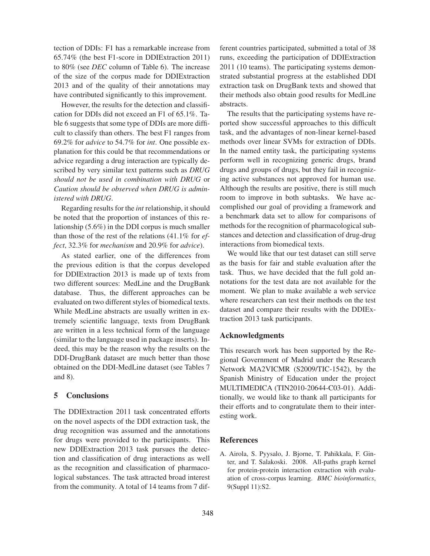tection of DDIs: F1 has a remarkable increase from 65.74% (the best F1-score in DDIExtraction 2011) to 80% (see *DEC* column of Table 6). The increase of the size of the corpus made for DDIExtraction 2013 and of the quality of their annotations may have contributed significantly to this improvement.

However, the results for the detection and classification for DDIs did not exceed an F1 of 65.1%. Table 6 suggests that some type of DDIs are more difficult to classify than others. The best F1 ranges from 69.2% for *advice* to 54.7% for *int*. One possible explanation for this could be that recommendations or advice regarding a drug interaction are typically described by very similar text patterns such as *DRUG should not be used in combination with DRUG* or *Caution should be observed when DRUG is administered with DRUG*.

Regarding results for the *int* relationship, it should be noted that the proportion of instances of this relationship (5.6%) in the DDI corpus is much smaller than those of the rest of the relations (41.1% for *effect*, 32.3% for *mechanism* and 20.9% for *advice*).

As stated earlier, one of the differences from the previous edition is that the corpus developed for DDIExtraction 2013 is made up of texts from two different sources: MedLine and the DrugBank database. Thus, the different approaches can be evaluated on two different styles of biomedical texts. While MedLine abstracts are usually written in extremely scientific language, texts from DrugBank are written in a less technical form of the language (similar to the language used in package inserts). Indeed, this may be the reason why the results on the DDI-DrugBank dataset are much better than those obtained on the DDI-MedLine dataset (see Tables 7 and 8).

# 5 Conclusions

The DDIExtraction 2011 task concentrated efforts on the novel aspects of the DDI extraction task, the drug recognition was assumed and the annotations for drugs were provided to the participants. This new DDIExtraction 2013 task pursues the detection and classification of drug interactions as well as the recognition and classification of pharmacological substances. The task attracted broad interest from the community. A total of 14 teams from 7 different countries participated, submitted a total of 38 runs, exceeding the participation of DDIExtraction 2011 (10 teams). The participating systems demonstrated substantial progress at the established DDI extraction task on DrugBank texts and showed that their methods also obtain good results for MedLine abstracts.

The results that the participating systems have reported show successful approaches to this difficult task, and the advantages of non-linear kernel-based methods over linear SVMs for extraction of DDIs. In the named entity task, the participating systems perform well in recognizing generic drugs, brand drugs and groups of drugs, but they fail in recognizing active substances not approved for human use. Although the results are positive, there is still much room to improve in both subtasks. We have accomplished our goal of providing a framework and a benchmark data set to allow for comparisons of methods for the recognition of pharmacological substances and detection and classification of drug-drug interactions from biomedical texts.

We would like that our test dataset can still serve as the basis for fair and stable evaluation after the task. Thus, we have decided that the full gold annotations for the test data are not available for the moment. We plan to make available a web service where researchers can test their methods on the test dataset and compare their results with the DDIExtraction 2013 task participants.

# Acknowledgments

This research work has been supported by the Regional Government of Madrid under the Research Network MA2VICMR (S2009/TIC-1542), by the Spanish Ministry of Education under the project MULTIMEDICA (TIN2010-20644-C03-01). Additionally, we would like to thank all participants for their efforts and to congratulate them to their interesting work.

### References

A. Airola, S. Pyysalo, J. Bjorne, T. Pahikkala, F. Ginter, and T. Salakoski. 2008. All-paths graph kernel for protein-protein interaction extraction with evaluation of cross-corpus learning. *BMC bioinformatics*, 9(Suppl 11):S2.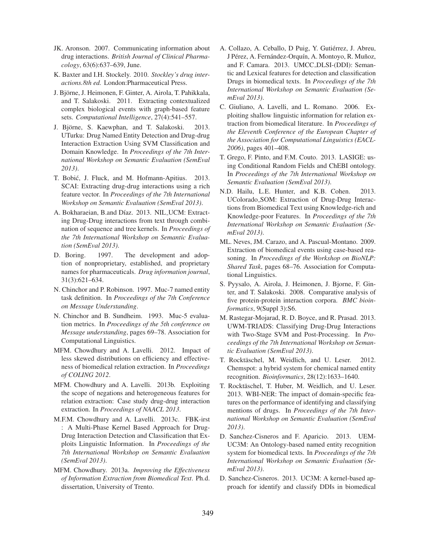- JK. Aronson. 2007. Communicating information about drug interactions. *British Journal of Clinical Pharmacology*, 63(6):637–639, June.
- K. Baxter and I.H. Stockely. 2010. *Stockley's drug interactions.8th ed.* London:Pharmaceutical Press.
- J. Björne, J. Heimonen, F. Ginter, A. Airola, T. Pahikkala, and T. Salakoski. 2011. Extracting contextualized complex biological events with graph-based feature sets. *Computational Intelligence*, 27(4):541–557.
- J. Björne, S. Kaewphan, and T. Salakoski. 2013. UTurku: Drug Named Entity Detection and Drug-drug Interaction Extraction Using SVM Classification and Domain Knowledge. In *Proceedings of the 7th International Workshop on Semantic Evaluation (SemEval 2013)*.
- T. Bobic, J. Fluck, and M. Hofmann-Apitius. 2013. ´ SCAI: Extracting drug-drug interactions using a rich feature vector. In *Proceedings of the 7th International Workshop on Semantic Evaluation (SemEval 2013)*.
- A. Bokharaeian, B.and Díaz. 2013. NIL\_UCM: Extracting Drug-Drug interactions from text through combination of sequence and tree kernels. In *Proceedings of the 7th International Workshop on Semantic Evaluation (SemEval 2013)*.
- D. Boring. 1997. The development and adoption of nonproprietary, established, and proprietary names for pharmaceuticals. *Drug information journal*, 31(3):621–634.
- N. Chinchor and P. Robinson. 1997. Muc-7 named entity task definition. In *Proceedings of the 7th Conference on Message Understanding*.
- N. Chinchor and B. Sundheim. 1993. Muc-5 evaluation metrics. In *Proceedings of the 5th conference on Message understanding*, pages 69–78. Association for Computational Linguistics.
- MFM. Chowdhury and A. Lavelli. 2012. Impact of less skewed distributions on efficiency and effectiveness of biomedical relation extraction. In *Proceedings of COLING 2012*.
- MFM. Chowdhury and A. Lavelli. 2013b. Exploiting the scope of negations and heterogeneous features for relation extraction: Case study drug-drug interaction extraction. In *Proceedings of NAACL 2013*.
- M.F.M. Chowdhury and A. Lavelli. 2013c. FBK-irst : A Multi-Phase Kernel Based Approach for Drug-Drug Interaction Detection and Classification that Exploits Linguistic Information. In *Proceedings of the 7th International Workshop on Semantic Evaluation (SemEval 2013)*.
- MFM. Chowdhury. 2013a. *Improving the Effectiveness of Information Extraction from Biomedical Text*. Ph.d. dissertation, University of Trento.
- A. Collazo, A. Ceballo, D Puig, Y. Gutiérrez, J. Abreu, J Pérez, A. Fernández-Orquín, A. Montoyo, R. Muñoz, and F. Camara. 2013. UMCC DLSI-(DDI): Semantic and Lexical features for detection and classification Drugs in biomedical texts. In *Proceedings of the 7th International Workshop on Semantic Evaluation (SemEval 2013)*.
- C. Giuliano, A. Lavelli, and L. Romano. 2006. Exploiting shallow linguistic information for relation extraction from biomedical literature. In *Proceedings of the Eleventh Conference of the European Chapter of the Association for Computational Linguistics (EACL-2006)*, pages 401–408.
- T. Grego, F. Pinto, and F.M. Couto. 2013. LASIGE: using Conditional Random Fields and ChEBI ontology. In *Proceedings of the 7th International Workshop on Semantic Evaluation (SemEval 2013)*.
- N.D. Hailu, L.E. Hunter, and K.B. Cohen. 2013. UColorado SOM: Extraction of Drug-Drug Interactions from Biomedical Text using Knowledge-rich and Knowledge-poor Features. In *Proceedings of the 7th International Workshop on Semantic Evaluation (SemEval 2013)*.
- ML. Neves, JM. Carazo, and A. Pascual-Montano. 2009. Extraction of biomedical events using case-based reasoning. In *Proceedings of the Workshop on BioNLP: Shared Task*, pages 68–76. Association for Computational Linguistics.
- S. Pyysalo, A. Airola, J. Heimonen, J. Bjorne, F. Ginter, and T. Salakoski. 2008. Comparative analysis of five protein-protein interaction corpora. *BMC bioinformatics*, 9(Suppl 3):S6.
- M. Rastegar-Mojarad, R. D. Boyce, and R. Prasad. 2013. UWM-TRIADS: Classifying Drug-Drug Interactions with Two-Stage SVM and Post-Processing. In *Proceedings of the 7th International Workshop on Semantic Evaluation (SemEval 2013)*.
- T. Rocktäschel, M. Weidlich, and U. Leser. 2012. Chemspot: a hybrid system for chemical named entity recognition. *Bioinformatics*, 28(12):1633–1640.
- T. Rocktäschel, T. Huber, M. Weidlich, and U. Leser. 2013. WBI-NER: The impact of domain-specific features on the performance of identifying and classifying mentions of drugs. In *Proceedings of the 7th International Workshop on Semantic Evaluation (SemEval 2013)*.
- D. Sanchez-Cisneros and F. Aparicio. 2013. UEM-UC3M: An Ontology-based named entity recognition system for biomedical texts. In *Proceedings of the 7th International Workshop on Semantic Evaluation (SemEval 2013)*.
- D. Sanchez-Cisneros. 2013. UC3M: A kernel-based approach for identify and classify DDIs in biomedical